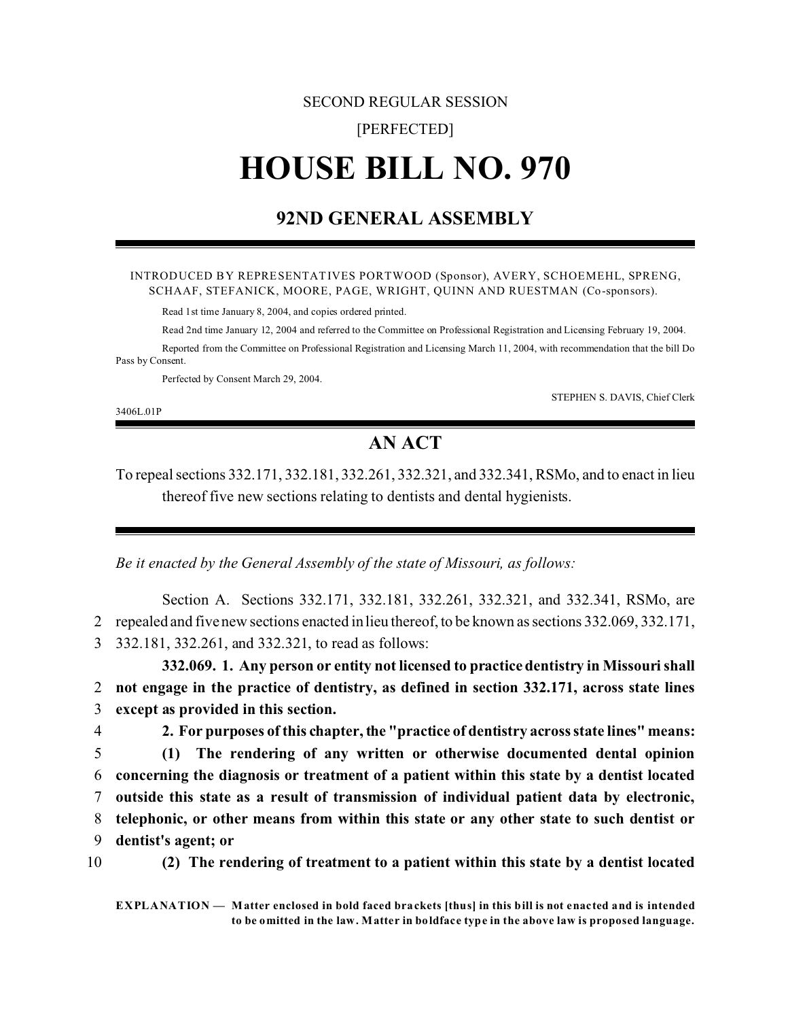# SECOND REGULAR SESSION

# [PERFECTED]

# **HOUSE BILL NO. 970**

# **92ND GENERAL ASSEMBLY**

#### INTRODUCED BY REPRESENTATIVES PORTWOOD (Sponsor), AVERY, SCHOEMEHL, SPRENG, SCHAAF, STEFANICK, MOORE, PAGE, WRIGHT, QUINN AND RUESTMAN (Co-sponsors).

Read 1st time January 8, 2004, and copies ordered printed.

Read 2nd time January 12, 2004 and referred to the Committee on Professional Registration and Licensing February 19, 2004.

Reported from the Committee on Professional Registration and Licensing March 11, 2004, with recommendation that the bill Do Pass by Consent.

Perfected by Consent March 29, 2004.

3406L.01P

STEPHEN S. DAVIS, Chief Clerk

# **AN ACT**

To repeal sections 332.171, 332.181, 332.261, 332.321, and 332.341, RSMo, and to enact in lieu thereof five new sections relating to dentists and dental hygienists.

*Be it enacted by the General Assembly of the state of Missouri, as follows:*

Section A. Sections 332.171, 332.181, 332.261, 332.321, and 332.341, RSMo, are 2 repealed and five new sections enacted in lieu thereof, to be known as sections 332.069, 332.171, 3 332.181, 332.261, and 332.321, to read as follows:

**332.069. 1. Any person or entity not licensed to practice dentistry in Missouri shall** 2 **not engage in the practice of dentistry, as defined in section 332.171, across state lines** 3 **except as provided in this section.**

 **2. For purposes of this chapter, the "practice of dentistry across state lines" means: (1) The rendering of any written or otherwise documented dental opinion concerning the diagnosis or treatment of a patient within this state by a dentist located outside this state as a result of transmission of individual patient data by electronic, telephonic, or other means from within this state or any other state to such dentist or dentist's agent; or**



10 **(2) The rendering of treatment to a patient within this state by a dentist located**

**EXPLANATION — Matter enclosed in bold faced brackets [thus] in this bill is not enacted and is intended to be omitted in the law. Matter in boldface type in the above law is proposed language.**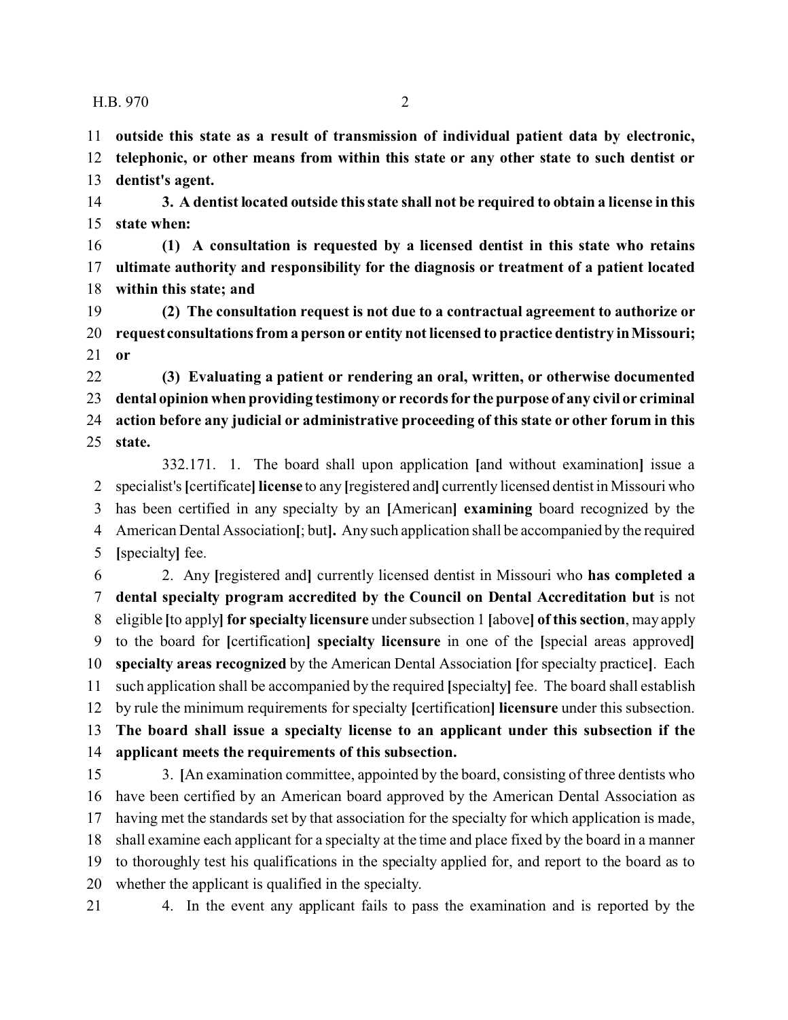**outside this state as a result of transmission of individual patient data by electronic,**

 **telephonic, or other means from within this state or any other state to such dentist or dentist's agent.**

 **3. A dentist located outside this state shall not be required to obtain a license in this state when:**

 **(1) A consultation is requested by a licensed dentist in this state who retains ultimate authority and responsibility for the diagnosis or treatment of a patient located within this state; and**

 **(2) The consultation request is not due to a contractual agreement to authorize or request consultations from a person or entity not licensed to practice dentistry in Missouri; or**

 **(3) Evaluating a patient or rendering an oral, written, or otherwise documented dental opinion when providing testimony or records for the purpose of any civil or criminal action before any judicial or administrative proceeding of this state or other forum in this state.**

332.171. 1. The board shall upon application **[**and without examination**]** issue a specialist's**[**certificate**] license** to any **[**registered and**]** currently licensed dentist in Missouri who has been certified in any specialty by an **[**American**] examining** board recognized by the American Dental Association**[**; but**].** Any such application shall be accompanied by the required **[**specialty**]** fee.

 2. Any **[**registered and**]** currently licensed dentist in Missouri who **has completed a dental specialty program accredited by the Council on Dental Accreditation but** is not eligible **[**to apply**] for specialty licensure** under subsection 1 **[**above**] of this section**, may apply to the board for **[**certification**] specialty licensure** in one of the **[**special areas approved**] specialty areas recognized** by the American Dental Association **[**for specialty practice**]**. Each such application shall be accompanied by the required **[**specialty**]** fee. The board shall establish by rule the minimum requirements for specialty **[**certification**] licensure** under this subsection. **The board shall issue a specialty license to an applicant under this subsection if the applicant meets the requirements of this subsection.**

 3. **[**An examination committee, appointed by the board, consisting of three dentists who have been certified by an American board approved by the American Dental Association as having met the standards set by that association for the specialty for which application is made, shall examine each applicant for a specialty at the time and place fixed by the board in a manner to thoroughly test his qualifications in the specialty applied for, and report to the board as to whether the applicant is qualified in the specialty.

4. In the event any applicant fails to pass the examination and is reported by the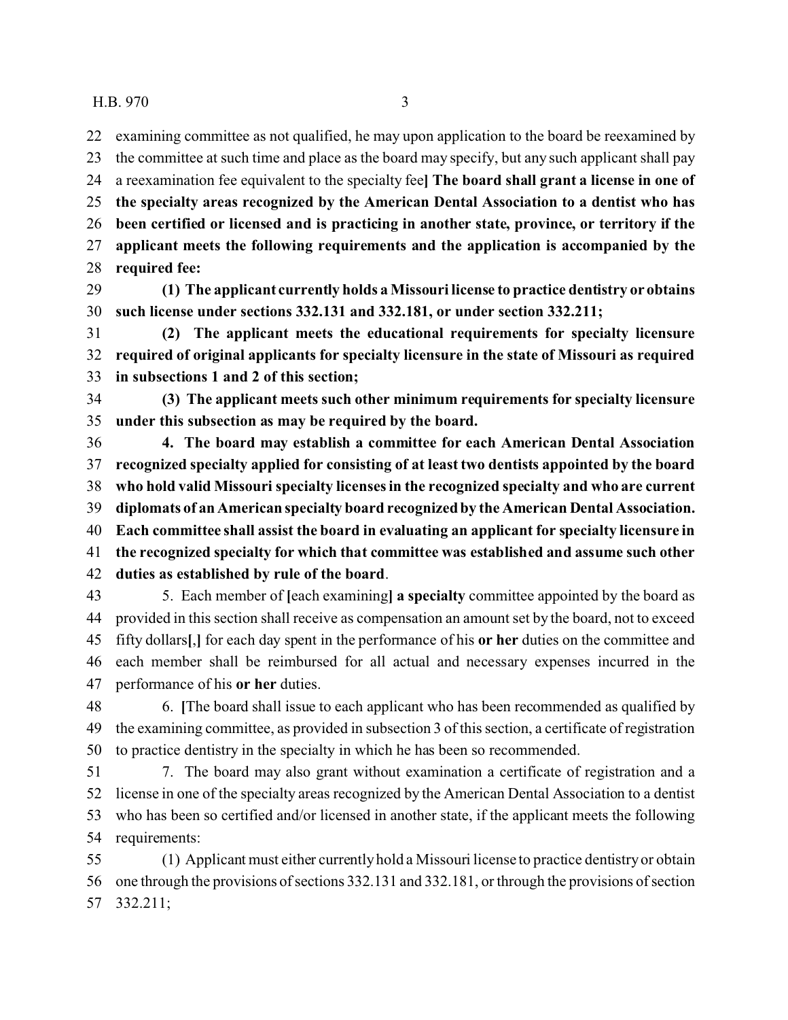examining committee as not qualified, he may upon application to the board be reexamined by the committee at such time and place as the board may specify, but any such applicant shall pay a reexamination fee equivalent to the specialty fee**] The board shall grant a license in one of the specialty areas recognized by the American Dental Association to a dentist who has been certified or licensed and is practicing in another state, province, or territory if the applicant meets the following requirements and the application is accompanied by the required fee:**

 **(1) The applicant currently holds a Missouri license to practice dentistry or obtains such license under sections 332.131 and 332.181, or under section 332.211;**

 **(2) The applicant meets the educational requirements for specialty licensure required of original applicants for specialty licensure in the state of Missouri as required in subsections 1 and 2 of this section;**

 **(3) The applicant meets such other minimum requirements for specialty licensure under this subsection as may be required by the board.**

 **4. The board may establish a committee for each American Dental Association recognized specialty applied for consisting of at least two dentists appointed by the board who hold valid Missouri specialty licenses in the recognized specialty and who are current diplomats of an American specialty board recognized by the American Dental Association. Each committee shall assist the board in evaluating an applicant for specialty licensure in the recognized specialty for which that committee was established and assume such other duties as established by rule of the board**.

 5. Each member of **[**each examining**] a specialty** committee appointed by the board as provided in this section shall receive as compensation an amount set by the board, not to exceed fifty dollars**[**,**]** for each day spent in the performance of his **or her** duties on the committee and each member shall be reimbursed for all actual and necessary expenses incurred in the performance of his **or her** duties.

 6. **[**The board shall issue to each applicant who has been recommended as qualified by the examining committee, as provided in subsection 3 of this section, a certificate of registration to practice dentistry in the specialty in which he has been so recommended.

 7. The board may also grant without examination a certificate of registration and a license in one of the specialty areas recognized by the American Dental Association to a dentist who has been so certified and/or licensed in another state, if the applicant meets the following requirements:

 (1) Applicant must either currently hold a Missouri license to practice dentistry or obtain one through the provisions of sections 332.131 and 332.181, or through the provisions of section 332.211;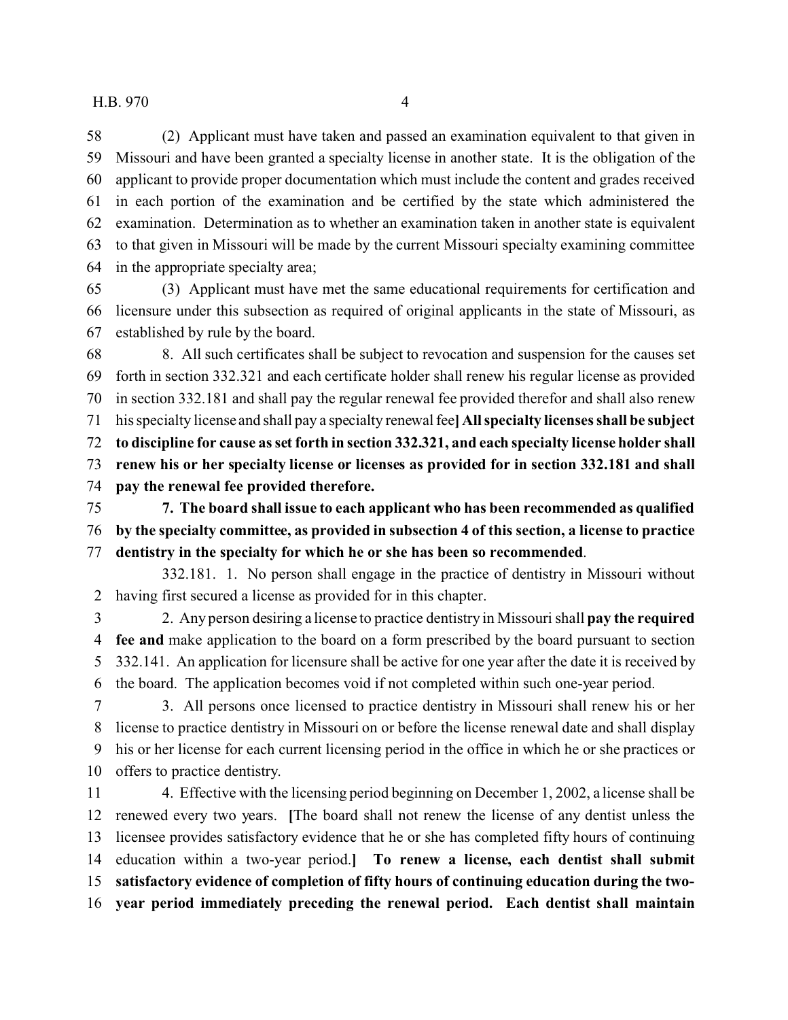(2) Applicant must have taken and passed an examination equivalent to that given in Missouri and have been granted a specialty license in another state. It is the obligation of the applicant to provide proper documentation which must include the content and grades received in each portion of the examination and be certified by the state which administered the examination. Determination as to whether an examination taken in another state is equivalent to that given in Missouri will be made by the current Missouri specialty examining committee in the appropriate specialty area;

 (3) Applicant must have met the same educational requirements for certification and licensure under this subsection as required of original applicants in the state of Missouri, as established by rule by the board.

 8. All such certificates shall be subject to revocation and suspension for the causes set forth in section 332.321 and each certificate holder shall renew his regular license as provided in section 332.181 and shall pay the regular renewal fee provided therefor and shall also renew his specialty license and shall pay a specialty renewal fee**] All specialty licenses shall be subject to discipline for cause as set forth in section 332.321, and each specialty license holder shall renew his or her specialty license or licenses as provided for in section 332.181 and shall pay the renewal fee provided therefore.**

 **7. The board shall issue to each applicant who has been recommended as qualified by the specialty committee, as provided in subsection 4 of this section, a license to practice dentistry in the specialty for which he or she has been so recommended**.

332.181. 1. No person shall engage in the practice of dentistry in Missouri without having first secured a license as provided for in this chapter.

 2. Any person desiring a license to practice dentistry in Missouri shall **pay the required fee and** make application to the board on a form prescribed by the board pursuant to section 332.141. An application for licensure shall be active for one year after the date it is received by the board. The application becomes void if not completed within such one-year period.

 3. All persons once licensed to practice dentistry in Missouri shall renew his or her license to practice dentistry in Missouri on or before the license renewal date and shall display his or her license for each current licensing period in the office in which he or she practices or offers to practice dentistry.

 4. Effective with the licensing period beginning on December 1, 2002, a license shall be renewed every two years. **[**The board shall not renew the license of any dentist unless the licensee provides satisfactory evidence that he or she has completed fifty hours of continuing education within a two-year period.**] To renew a license, each dentist shall submit satisfactory evidence of completion of fifty hours of continuing education during the two-year period immediately preceding the renewal period. Each dentist shall maintain**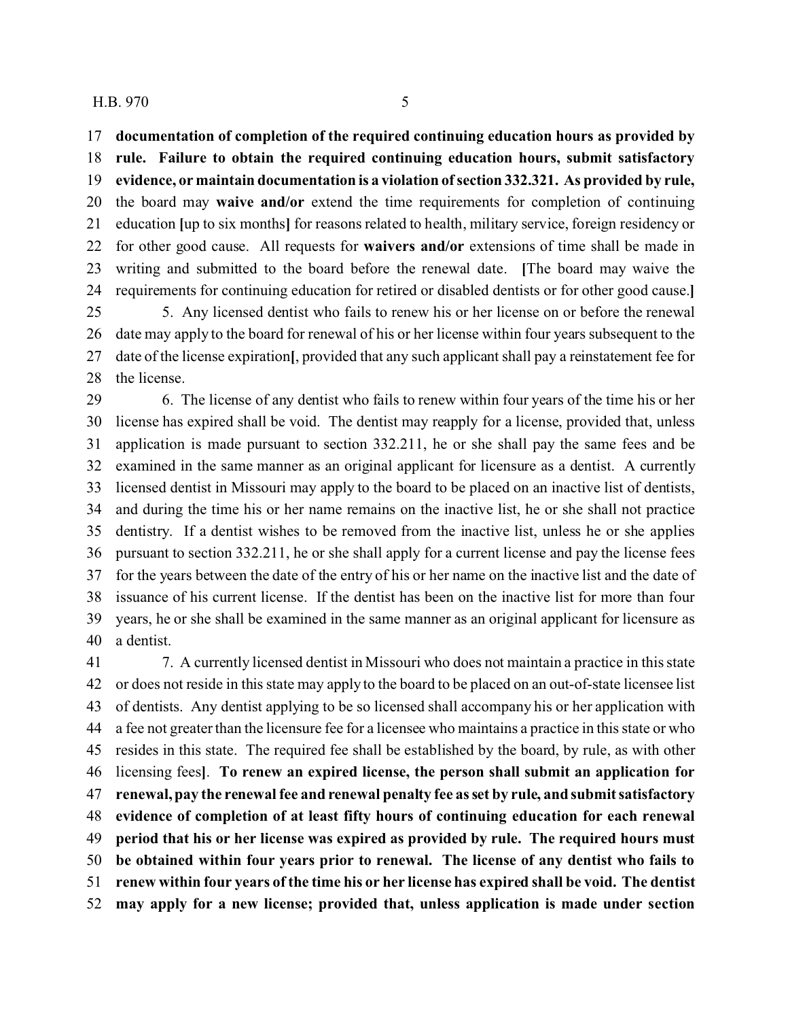**documentation of completion of the required continuing education hours as provided by**

 **rule. Failure to obtain the required continuing education hours, submit satisfactory evidence, or maintain documentation is a violation of section 332.321. As provided by rule,** the board may **waive and/or** extend the time requirements for completion of continuing education **[**up to six months**]** for reasons related to health, military service, foreign residency or for other good cause. All requests for **waivers and/or** extensions of time shall be made in writing and submitted to the board before the renewal date. **[**The board may waive the requirements for continuing education for retired or disabled dentists or for other good cause.**]** 5. Any licensed dentist who fails to renew his or her license on or before the renewal

 date may apply to the board for renewal of his or her license within four years subsequent to the date of the license expiration**[**, provided that any such applicant shall pay a reinstatement fee for 28 the license.

 6. The license of any dentist who fails to renew within four years of the time his or her license has expired shall be void. The dentist may reapply for a license, provided that, unless application is made pursuant to section 332.211, he or she shall pay the same fees and be examined in the same manner as an original applicant for licensure as a dentist. A currently licensed dentist in Missouri may apply to the board to be placed on an inactive list of dentists, and during the time his or her name remains on the inactive list, he or she shall not practice dentistry. If a dentist wishes to be removed from the inactive list, unless he or she applies pursuant to section 332.211, he or she shall apply for a current license and pay the license fees for the years between the date of the entry of his or her name on the inactive list and the date of issuance of his current license. If the dentist has been on the inactive list for more than four years, he or she shall be examined in the same manner as an original applicant for licensure as a dentist.

 7. A currently licensed dentist in Missouri who does not maintain a practice in this state or does not reside in this state may apply to the board to be placed on an out-of-state licensee list of dentists. Any dentist applying to be so licensed shall accompany his or her application with a fee not greater than the licensure fee for a licensee who maintains a practice in this state or who resides in this state. The required fee shall be established by the board, by rule, as with other licensing fees**]**. **To renew an expired license, the person shall submit an application for renewal, pay the renewal fee and renewal penalty fee as set by rule, and submit satisfactory evidence of completion of at least fifty hours of continuing education for each renewal period that his or her license was expired as provided by rule. The required hours must be obtained within four years prior to renewal. The license of any dentist who fails to renew within four years of the time his or her license has expired shall be void. The dentist may apply for a new license; provided that, unless application is made under section**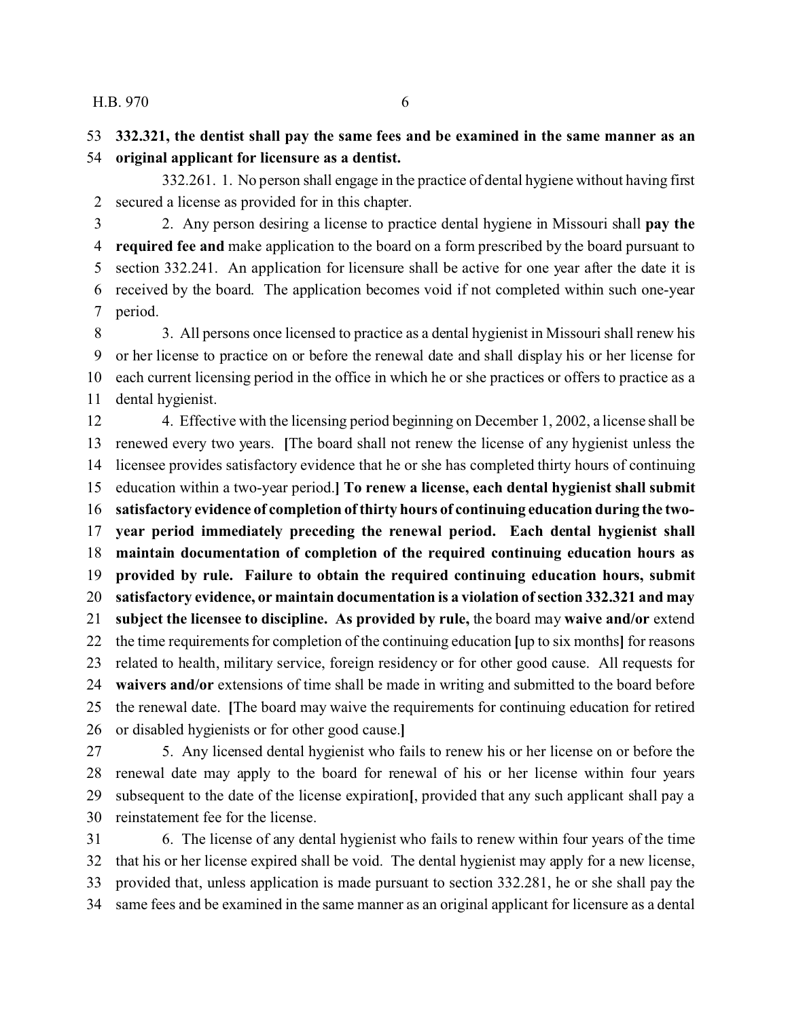**332.321, the dentist shall pay the same fees and be examined in the same manner as an original applicant for licensure as a dentist.**

332.261. 1. No person shall engage in the practice of dental hygiene without having first secured a license as provided for in this chapter.

 2. Any person desiring a license to practice dental hygiene in Missouri shall **pay the required fee and** make application to the board on a form prescribed by the board pursuant to section 332.241. An application for licensure shall be active for one year after the date it is received by the board. The application becomes void if not completed within such one-year period.

 3. All persons once licensed to practice as a dental hygienist in Missouri shall renew his or her license to practice on or before the renewal date and shall display his or her license for each current licensing period in the office in which he or she practices or offers to practice as a dental hygienist.

 4. Effective with the licensing period beginning on December 1, 2002, a license shall be renewed every two years. **[**The board shall not renew the license of any hygienist unless the licensee provides satisfactory evidence that he or she has completed thirty hours of continuing education within a two-year period.**] To renew a license, each dental hygienist shall submit satisfactory evidence of completion of thirty hours of continuing education during the two- year period immediately preceding the renewal period. Each dental hygienist shall maintain documentation of completion of the required continuing education hours as provided by rule. Failure to obtain the required continuing education hours, submit satisfactory evidence, or maintain documentation is a violation of section 332.321 and may subject the licensee to discipline. As provided by rule,** the board may **waive and/or** extend the time requirements for completion of the continuing education **[**up to six months**]** for reasons related to health, military service, foreign residency or for other good cause. All requests for **waivers and/or** extensions of time shall be made in writing and submitted to the board before the renewal date. **[**The board may waive the requirements for continuing education for retired or disabled hygienists or for other good cause.**]**

 5. Any licensed dental hygienist who fails to renew his or her license on or before the renewal date may apply to the board for renewal of his or her license within four years subsequent to the date of the license expiration**[**, provided that any such applicant shall pay a reinstatement fee for the license.

 6. The license of any dental hygienist who fails to renew within four years of the time that his or her license expired shall be void. The dental hygienist may apply for a new license, provided that, unless application is made pursuant to section 332.281, he or she shall pay the same fees and be examined in the same manner as an original applicant for licensure as a dental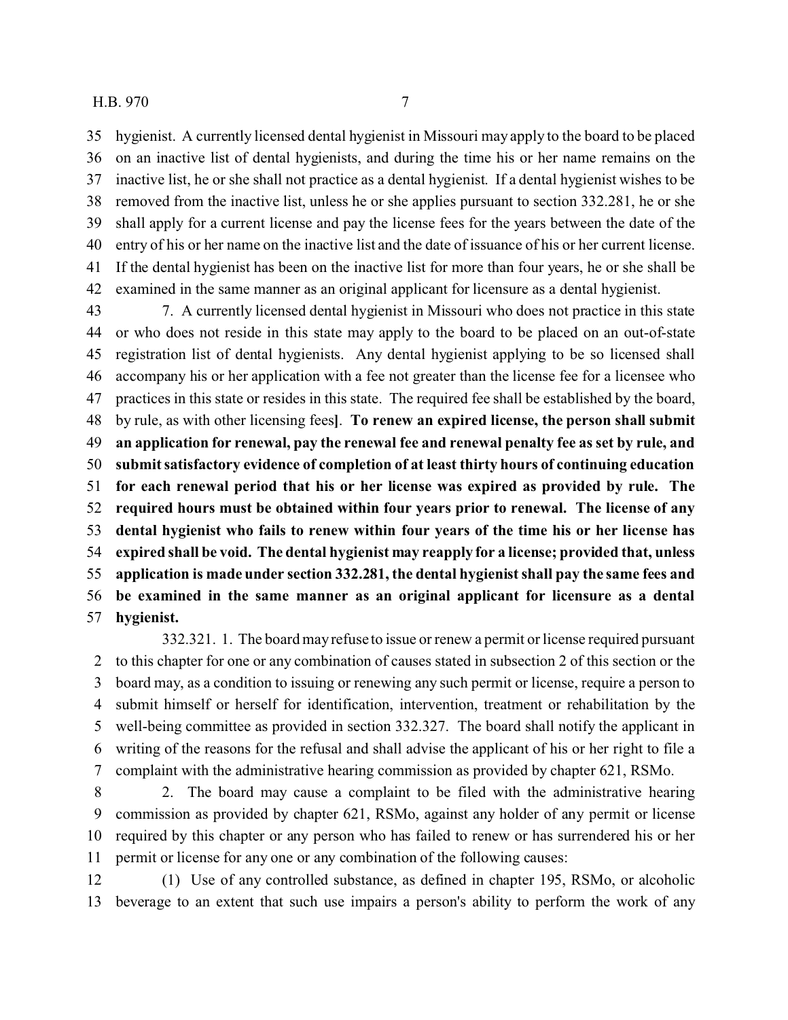hygienist. A currently licensed dental hygienist in Missouri may apply to the board to be placed on an inactive list of dental hygienists, and during the time his or her name remains on the inactive list, he or she shall not practice as a dental hygienist. If a dental hygienist wishes to be removed from the inactive list, unless he or she applies pursuant to section 332.281, he or she shall apply for a current license and pay the license fees for the years between the date of the entry of his or her name on the inactive list and the date of issuance of his or her current license. If the dental hygienist has been on the inactive list for more than four years, he or she shall be examined in the same manner as an original applicant for licensure as a dental hygienist.

 7. A currently licensed dental hygienist in Missouri who does not practice in this state or who does not reside in this state may apply to the board to be placed on an out-of-state registration list of dental hygienists. Any dental hygienist applying to be so licensed shall accompany his or her application with a fee not greater than the license fee for a licensee who practices in this state or resides in this state. The required fee shall be established by the board, by rule, as with other licensing fees**]**. **To renew an expired license, the person shall submit an application for renewal, pay the renewal fee and renewal penalty fee as set by rule, and submit satisfactory evidence of completion of at least thirty hours of continuing education for each renewal period that his or her license was expired as provided by rule. The required hours must be obtained within four years prior to renewal. The license of any dental hygienist who fails to renew within four years of the time his or her license has expired shall be void. The dental hygienist may reapply for a license; provided that, unless application is made under section 332.281, the dental hygienist shall pay the same fees and be examined in the same manner as an original applicant for licensure as a dental hygienist.**

332.321. 1. The board may refuse to issue or renew a permit or license required pursuant to this chapter for one or any combination of causes stated in subsection 2 of this section or the board may, as a condition to issuing or renewing any such permit or license, require a person to submit himself or herself for identification, intervention, treatment or rehabilitation by the well-being committee as provided in section 332.327. The board shall notify the applicant in writing of the reasons for the refusal and shall advise the applicant of his or her right to file a complaint with the administrative hearing commission as provided by chapter 621, RSMo.

 2. The board may cause a complaint to be filed with the administrative hearing commission as provided by chapter 621, RSMo, against any holder of any permit or license required by this chapter or any person who has failed to renew or has surrendered his or her permit or license for any one or any combination of the following causes:

 (1) Use of any controlled substance, as defined in chapter 195, RSMo, or alcoholic beverage to an extent that such use impairs a person's ability to perform the work of any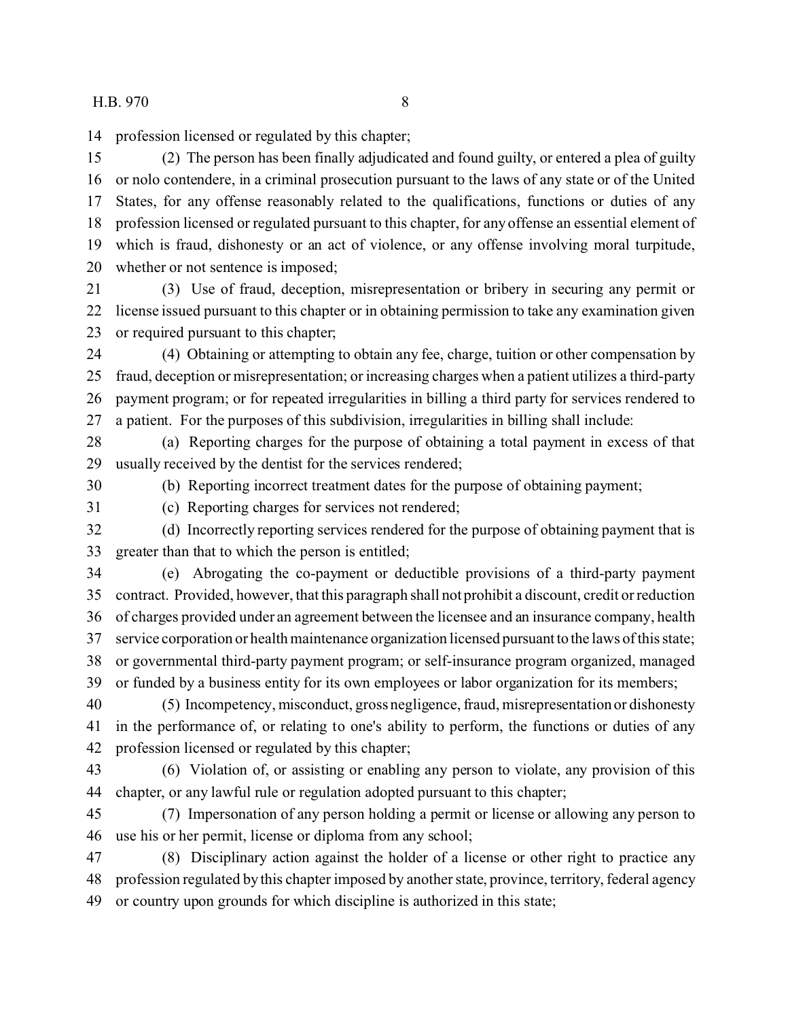profession licensed or regulated by this chapter;

 (2) The person has been finally adjudicated and found guilty, or entered a plea of guilty or nolo contendere, in a criminal prosecution pursuant to the laws of any state or of the United States, for any offense reasonably related to the qualifications, functions or duties of any profession licensed or regulated pursuant to this chapter, for any offense an essential element of which is fraud, dishonesty or an act of violence, or any offense involving moral turpitude, whether or not sentence is imposed;

 (3) Use of fraud, deception, misrepresentation or bribery in securing any permit or license issued pursuant to this chapter or in obtaining permission to take any examination given or required pursuant to this chapter;

 (4) Obtaining or attempting to obtain any fee, charge, tuition or other compensation by fraud, deception or misrepresentation; or increasing charges when a patient utilizes a third-party payment program; or for repeated irregularities in billing a third party for services rendered to a patient. For the purposes of this subdivision, irregularities in billing shall include:

 (a) Reporting charges for the purpose of obtaining a total payment in excess of that usually received by the dentist for the services rendered;

(b) Reporting incorrect treatment dates for the purpose of obtaining payment;

(c) Reporting charges for services not rendered;

 (d) Incorrectly reporting services rendered for the purpose of obtaining payment that is greater than that to which the person is entitled;

 (e) Abrogating the co-payment or deductible provisions of a third-party payment contract. Provided, however, that this paragraph shall not prohibit a discount, credit or reduction of charges provided under an agreement between the licensee and an insurance company, health service corporation or health maintenance organization licensed pursuantto the laws of this state; or governmental third-party payment program; or self-insurance program organized, managed or funded by a business entity for its own employees or labor organization for its members;

 (5) Incompetency, misconduct, gross negligence, fraud, misrepresentation or dishonesty in the performance of, or relating to one's ability to perform, the functions or duties of any profession licensed or regulated by this chapter;

 (6) Violation of, or assisting or enabling any person to violate, any provision of this chapter, or any lawful rule or regulation adopted pursuant to this chapter;

 (7) Impersonation of any person holding a permit or license or allowing any person to use his or her permit, license or diploma from any school;

 (8) Disciplinary action against the holder of a license or other right to practice any profession regulated by this chapter imposed by another state, province, territory, federal agency or country upon grounds for which discipline is authorized in this state;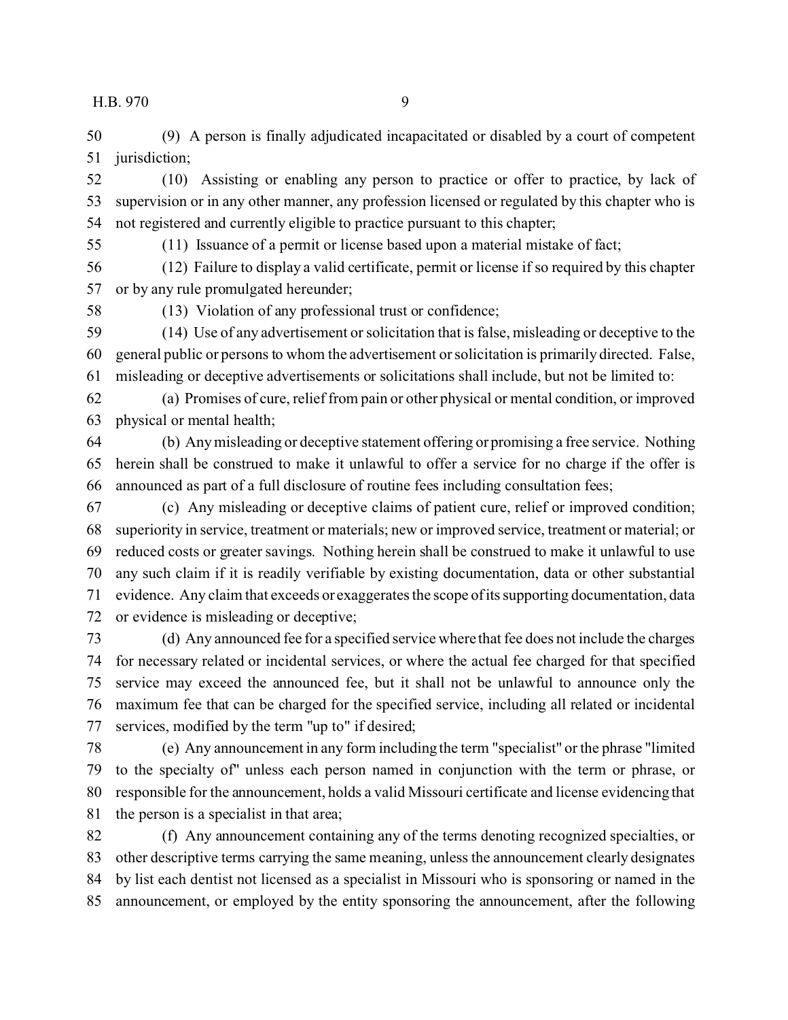(9) A person is finally adjudicated incapacitated or disabled by a court of competent 51 jurisdiction;

 (10) Assisting or enabling any person to practice or offer to practice, by lack of supervision or in any other manner, any profession licensed or regulated by this chapter who is not registered and currently eligible to practice pursuant to this chapter;

(11) Issuance of a permit or license based upon a material mistake of fact;

 (12) Failure to display a valid certificate, permit or license if so required by this chapter or by any rule promulgated hereunder;

(13) Violation of any professional trust or confidence;

 (14) Use of any advertisement or solicitation that is false, misleading or deceptive to the general public or persons to whom the advertisement or solicitation is primarily directed. False, misleading or deceptive advertisements or solicitations shall include, but not be limited to:

 (a) Promises of cure, relief from pain or other physical or mental condition, or improved physical or mental health;

 (b) Any misleading or deceptive statement offering or promising a free service. Nothing herein shall be construed to make it unlawful to offer a service for no charge if the offer is announced as part of a full disclosure of routine fees including consultation fees;

 (c) Any misleading or deceptive claims of patient cure, relief or improved condition; superiority in service, treatment or materials; new or improved service, treatment or material; or reduced costs or greater savings. Nothing herein shall be construed to make it unlawful to use any such claim if it is readily verifiable by existing documentation, data or other substantial evidence. Any claim that exceeds or exaggerates the scope of its supporting documentation, data or evidence is misleading or deceptive;

 (d) Any announced fee for a specified service where that fee does not include the charges for necessary related or incidental services, or where the actual fee charged for that specified service may exceed the announced fee, but it shall not be unlawful to announce only the maximum fee that can be charged for the specified service, including all related or incidental services, modified by the term "up to" if desired;

 (e) Any announcement in any form including the term "specialist" or the phrase "limited to the specialty of" unless each person named in conjunction with the term or phrase, or responsible for the announcement, holds a valid Missouri certificate and license evidencing that the person is a specialist in that area;

 (f) Any announcement containing any of the terms denoting recognized specialties, or other descriptive terms carrying the same meaning, unless the announcement clearly designates by list each dentist not licensed as a specialist in Missouri who is sponsoring or named in the announcement, or employed by the entity sponsoring the announcement, after the following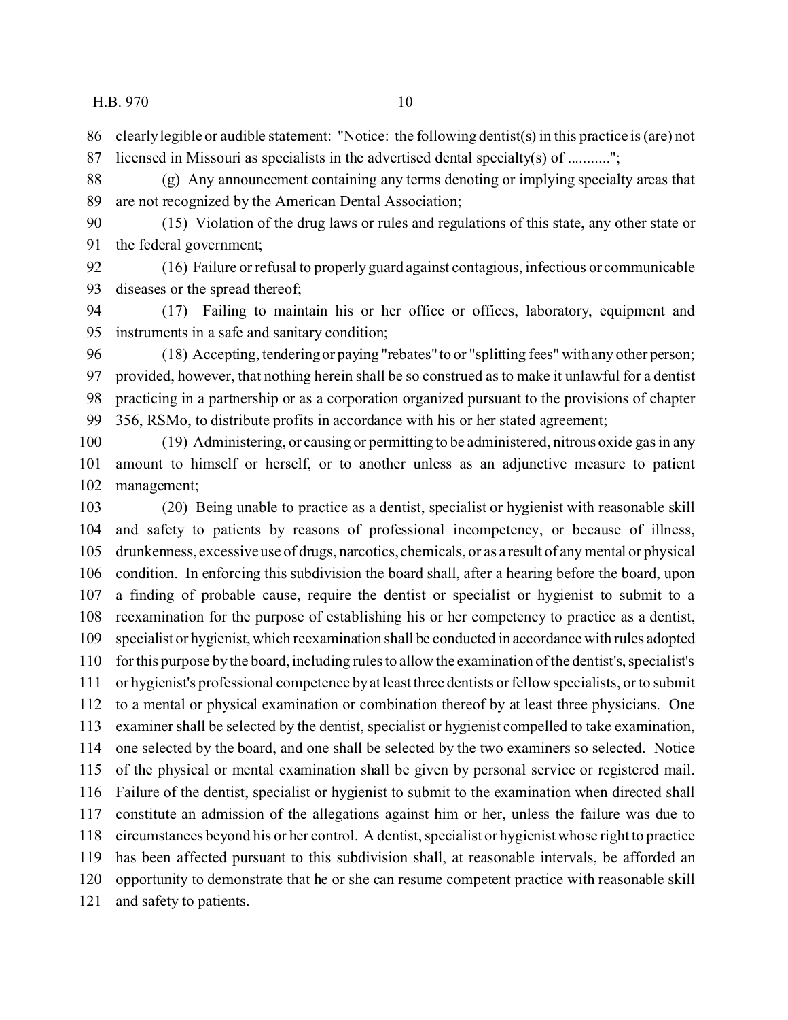clearly legible or audible statement: "Notice: the following dentist(s) in this practice is (are) not

licensed in Missouri as specialists in the advertised dental specialty(s) of ...........";

 (g) Any announcement containing any terms denoting or implying specialty areas that are not recognized by the American Dental Association;

 (15) Violation of the drug laws or rules and regulations of this state, any other state or the federal government;

 (16) Failure or refusal to properly guard against contagious, infectious or communicable diseases or the spread thereof;

 (17) Failing to maintain his or her office or offices, laboratory, equipment and instruments in a safe and sanitary condition;

 (18) Accepting, tendering or paying "rebates" to or "splitting fees" with any other person; provided, however, that nothing herein shall be so construed as to make it unlawful for a dentist practicing in a partnership or as a corporation organized pursuant to the provisions of chapter 356, RSMo, to distribute profits in accordance with his or her stated agreement;

 (19) Administering, or causing or permitting to be administered, nitrous oxide gas in any amount to himself or herself, or to another unless as an adjunctive measure to patient management;

 (20) Being unable to practice as a dentist, specialist or hygienist with reasonable skill and safety to patients by reasons of professional incompetency, or because of illness, drunkenness, excessive use of drugs, narcotics, chemicals, or as a result of any mental or physical condition. In enforcing this subdivision the board shall, after a hearing before the board, upon a finding of probable cause, require the dentist or specialist or hygienist to submit to a reexamination for the purpose of establishing his or her competency to practice as a dentist, specialist or hygienist, which reexamination shall be conducted in accordance with rules adopted for this purpose by the board, including rules to allow the examination of the dentist's, specialist's or hygienist's professional competence by at least three dentists or fellow specialists, or to submit to a mental or physical examination or combination thereof by at least three physicians. One examiner shall be selected by the dentist, specialist or hygienist compelled to take examination, one selected by the board, and one shall be selected by the two examiners so selected. Notice of the physical or mental examination shall be given by personal service or registered mail. Failure of the dentist, specialist or hygienist to submit to the examination when directed shall constitute an admission of the allegations against him or her, unless the failure was due to circumstances beyond his or her control. A dentist, specialist or hygienist whose right to practice has been affected pursuant to this subdivision shall, at reasonable intervals, be afforded an opportunity to demonstrate that he or she can resume competent practice with reasonable skill and safety to patients.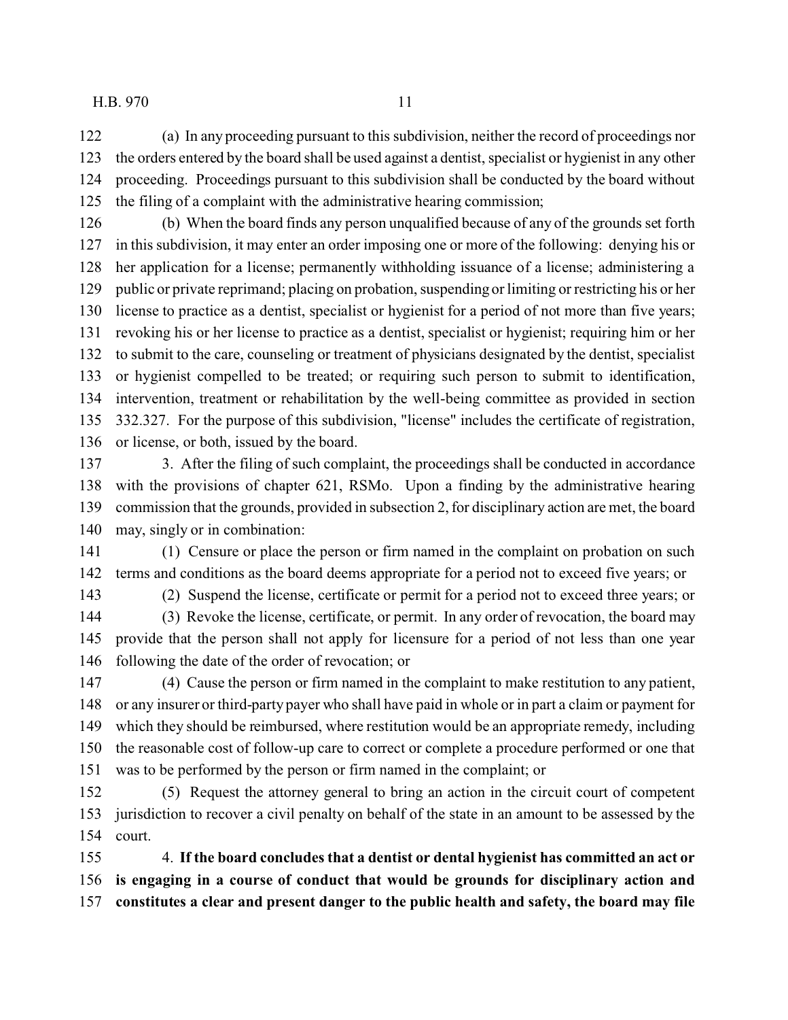(a) In any proceeding pursuant to this subdivision, neither the record of proceedings nor the orders entered by the board shall be used against a dentist, specialist or hygienist in any other proceeding. Proceedings pursuant to this subdivision shall be conducted by the board without the filing of a complaint with the administrative hearing commission;

 (b) When the board finds any person unqualified because of any of the grounds set forth in this subdivision, it may enter an order imposing one or more of the following: denying his or her application for a license; permanently withholding issuance of a license; administering a public or private reprimand; placing on probation, suspending or limiting or restricting his or her license to practice as a dentist, specialist or hygienist for a period of not more than five years; revoking his or her license to practice as a dentist, specialist or hygienist; requiring him or her to submit to the care, counseling or treatment of physicians designated by the dentist, specialist or hygienist compelled to be treated; or requiring such person to submit to identification, intervention, treatment or rehabilitation by the well-being committee as provided in section 332.327. For the purpose of this subdivision, "license" includes the certificate of registration, or license, or both, issued by the board.

 3. After the filing of such complaint, the proceedings shall be conducted in accordance with the provisions of chapter 621, RSMo. Upon a finding by the administrative hearing commission that the grounds, provided in subsection 2, for disciplinary action are met, the board may, singly or in combination:

 (1) Censure or place the person or firm named in the complaint on probation on such terms and conditions as the board deems appropriate for a period not to exceed five years; or

(2) Suspend the license, certificate or permit for a period not to exceed three years; or

 (3) Revoke the license, certificate, or permit. In any order of revocation, the board may provide that the person shall not apply for licensure for a period of not less than one year following the date of the order of revocation; or

 (4) Cause the person or firm named in the complaint to make restitution to any patient, or any insurer or third-party payer who shall have paid in whole or in part a claim or payment for which they should be reimbursed, where restitution would be an appropriate remedy, including the reasonable cost of follow-up care to correct or complete a procedure performed or one that was to be performed by the person or firm named in the complaint; or

 (5) Request the attorney general to bring an action in the circuit court of competent jurisdiction to recover a civil penalty on behalf of the state in an amount to be assessed by the court.

 4. **If the board concludes that a dentist or dental hygienist has committed an act or is engaging in a course of conduct that would be grounds for disciplinary action and constitutes a clear and present danger to the public health and safety, the board may file**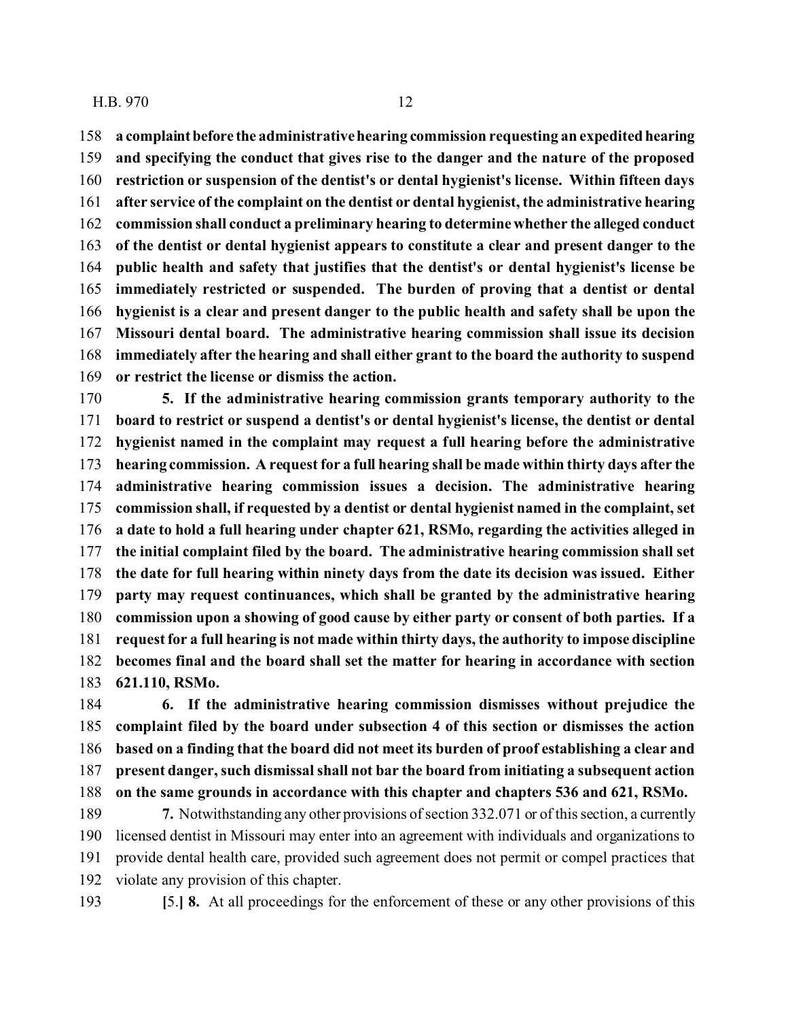**a complaintbefore the administrative hearing commission requesting an expedited hearing and specifying the conduct that gives rise to the danger and the nature of the proposed**

 **restriction or suspension of the dentist's or dental hygienist's license. Within fifteen days after service of the complaint on the dentist or dental hygienist, the administrative hearing commission shall conduct a preliminary hearing to determine whether the alleged conduct of the dentist or dental hygienist appears to constitute a clear and present danger to the public health and safety that justifies that the dentist's or dental hygienist's license be immediately restricted or suspended. The burden of proving that a dentist or dental hygienist is a clear and present danger to the public health and safety shall be upon the Missouri dental board. The administrative hearing commission shall issue its decision immediately after the hearing and shall either grant to the board the authority to suspend or restrict the license or dismiss the action.**

 **5. If the administrative hearing commission grants temporary authority to the board to restrict or suspend a dentist's or dental hygienist's license, the dentist or dental hygienist named in the complaint may request a full hearing before the administrative hearing commission. A request for a full hearing shall be made within thirty days after the administrative hearing commission issues a decision. The administrative hearing commission shall, if requested by a dentist or dental hygienist named in the complaint, set a date to hold a full hearing under chapter 621, RSMo, regarding the activities alleged in the initial complaint filed by the board. The administrative hearing commission shall set the date for full hearing within ninety days from the date its decision was issued. Either party may request continuances, which shall be granted by the administrative hearing commission upon a showing of good cause by either party or consent of both parties. If a request for a full hearing is not made within thirty days, the authority to impose discipline becomes final and the board shall set the matter for hearing in accordance with section 621.110, RSMo.**

 **6. If the administrative hearing commission dismisses without prejudice the complaint filed by the board under subsection 4 of this section or dismisses the action based on a finding that the board did not meet its burden of proof establishing a clear and present danger, such dismissal shall not bar the board from initiating a subsequent action on the same grounds in accordance with this chapter and chapters 536 and 621, RSMo.**

 **7.** Notwithstanding any other provisions of section 332.071 or of this section, a currently licensed dentist in Missouri may enter into an agreement with individuals and organizations to provide dental health care, provided such agreement does not permit or compel practices that violate any provision of this chapter.

**[**5.**] 8.** At all proceedings for the enforcement of these or any other provisions of this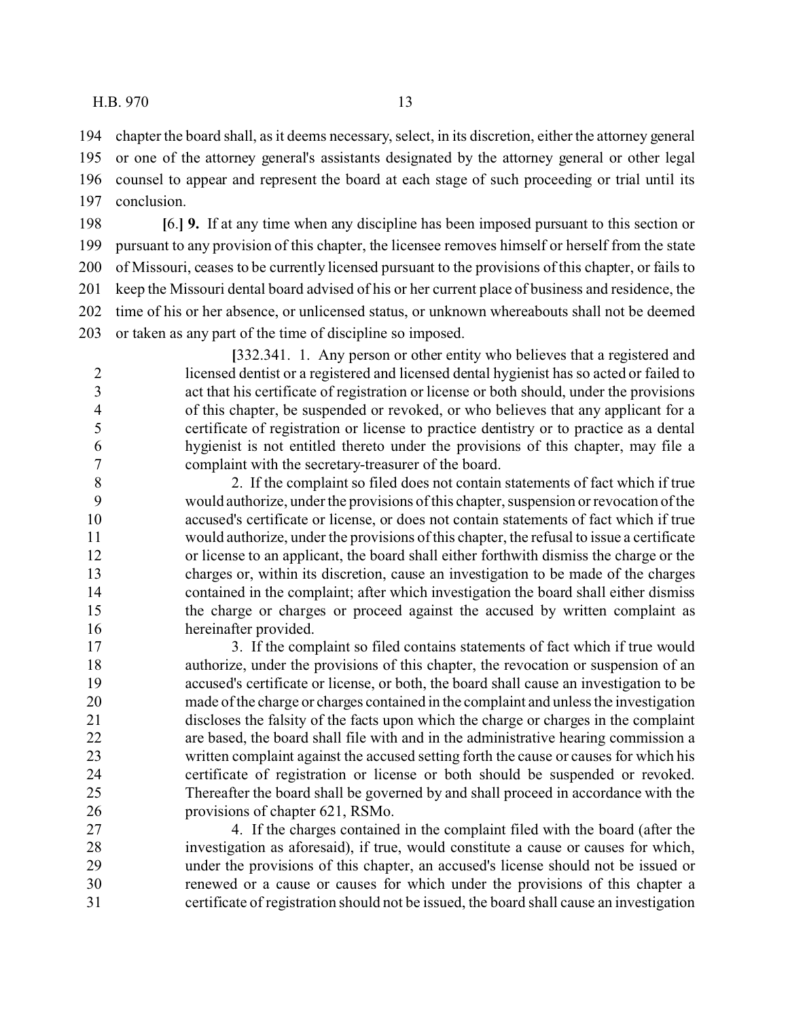chapter the board shall, as it deems necessary, select, in its discretion, either the attorney general or one of the attorney general's assistants designated by the attorney general or other legal counsel to appear and represent the board at each stage of such proceeding or trial until its conclusion.

 **[**6.**] 9.** If at any time when any discipline has been imposed pursuant to this section or pursuant to any provision of this chapter, the licensee removes himself or herself from the state of Missouri, ceases to be currently licensed pursuant to the provisions of this chapter, or fails to keep the Missouri dental board advised of his or her current place of business and residence, the time of his or her absence, or unlicensed status, or unknown whereabouts shall not be deemed or taken as any part of the time of discipline so imposed.

**[**332.341. 1. Any person or other entity who believes that a registered and licensed dentist or a registered and licensed dental hygienist has so acted or failed to act that his certificate of registration or license or both should, under the provisions of this chapter, be suspended or revoked, or who believes that any applicant for a certificate of registration or license to practice dentistry or to practice as a dental hygienist is not entitled thereto under the provisions of this chapter, may file a complaint with the secretary-treasurer of the board.

 2. If the complaint so filed does not contain statements of fact which if true would authorize, under the provisions of this chapter, suspension or revocation of the accused's certificate or license, or does not contain statements of fact which if true would authorize, under the provisions of this chapter, the refusal to issue a certificate or license to an applicant, the board shall either forthwith dismiss the charge or the charges or, within its discretion, cause an investigation to be made of the charges contained in the complaint; after which investigation the board shall either dismiss the charge or charges or proceed against the accused by written complaint as hereinafter provided.

 3. If the complaint so filed contains statements of fact which if true would authorize, under the provisions of this chapter, the revocation or suspension of an accused's certificate or license, or both, the board shall cause an investigation to be made of the charge or charges contained in the complaint and unless the investigation discloses the falsity of the facts upon which the charge or charges in the complaint are based, the board shall file with and in the administrative hearing commission a written complaint against the accused setting forth the cause or causes for which his certificate of registration or license or both should be suspended or revoked. Thereafter the board shall be governed by and shall proceed in accordance with the provisions of chapter 621, RSMo.

 4. If the charges contained in the complaint filed with the board (after the investigation as aforesaid), if true, would constitute a cause or causes for which, under the provisions of this chapter, an accused's license should not be issued or renewed or a cause or causes for which under the provisions of this chapter a certificate of registration should not be issued, the board shall cause an investigation